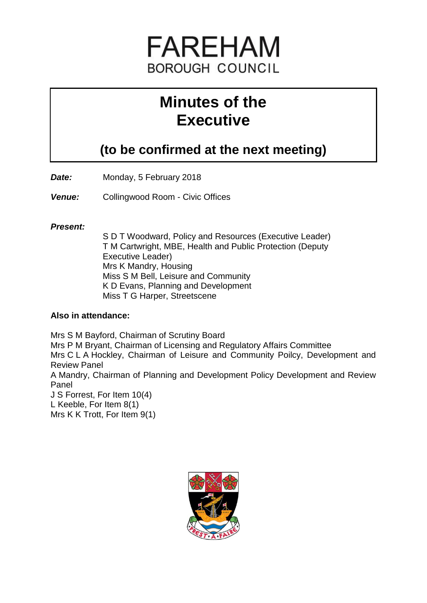

# **Minutes of the Executive**

# **(to be confirmed at the next meeting)**

- *Date:* Monday, 5 February 2018
- *Venue:* Collingwood Room Civic Offices

# *Present:*

S D T Woodward, Policy and Resources (Executive Leader) T M Cartwright, MBE, Health and Public Protection (Deputy Executive Leader) Mrs K Mandry, Housing Miss S M Bell, Leisure and Community K D Evans, Planning and Development Miss T G Harper, Streetscene

# **Also in attendance:**

Mrs S M Bayford, Chairman of Scrutiny Board Mrs P M Bryant, Chairman of Licensing and Regulatory Affairs Committee Mrs C L A Hockley, Chairman of Leisure and Community Poilcy, Development and Review Panel A Mandry, Chairman of Planning and Development Policy Development and Review Panel J S Forrest, For Item 10(4) L Keeble, For Item 8(1) Mrs K K Trott, For Item 9(1)

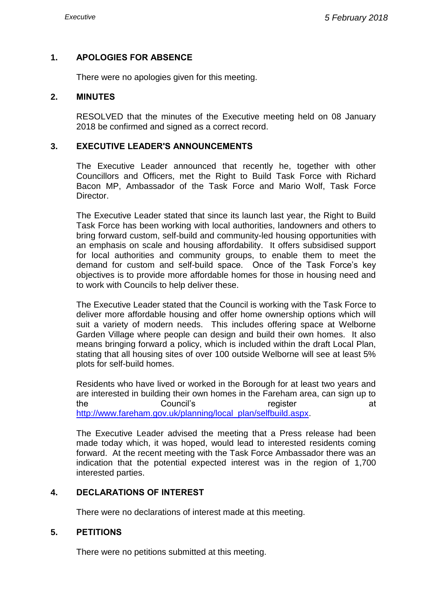## **1. APOLOGIES FOR ABSENCE**

There were no apologies given for this meeting.

#### **2. MINUTES**

RESOLVED that the minutes of the Executive meeting held on 08 January 2018 be confirmed and signed as a correct record.

#### **3. EXECUTIVE LEADER'S ANNOUNCEMENTS**

The Executive Leader announced that recently he, together with other Councillors and Officers, met the Right to Build Task Force with Richard Bacon MP, Ambassador of the Task Force and Mario Wolf, Task Force Director.

The Executive Leader stated that since its launch last year, the Right to Build Task Force has been working with local authorities, landowners and others to bring forward custom, self-build and community-led housing opportunities with an emphasis on scale and housing affordability. It offers subsidised support for local authorities and community groups, to enable them to meet the demand for custom and self-build space. Once of the Task Force's key objectives is to provide more affordable homes for those in housing need and to work with Councils to help deliver these.

The Executive Leader stated that the Council is working with the Task Force to deliver more affordable housing and offer home ownership options which will suit a variety of modern needs. This includes offering space at Welborne Garden Village where people can design and build their own homes. It also means bringing forward a policy, which is included within the draft Local Plan, stating that all housing sites of over 100 outside Welborne will see at least 5% plots for self-build homes.

Residents who have lived or worked in the Borough for at least two years and are interested in building their own homes in the Fareham area, can sign up to the Council's council's register at [http://www.fareham.gov.uk/planning/local\\_plan/selfbuild.aspx.](http://www.fareham.gov.uk/planning/local_plan/selfbuild.aspx)

The Executive Leader advised the meeting that a Press release had been made today which, it was hoped, would lead to interested residents coming forward. At the recent meeting with the Task Force Ambassador there was an indication that the potential expected interest was in the region of 1,700 interested parties.

## **4. DECLARATIONS OF INTEREST**

There were no declarations of interest made at this meeting.

## **5. PETITIONS**

There were no petitions submitted at this meeting.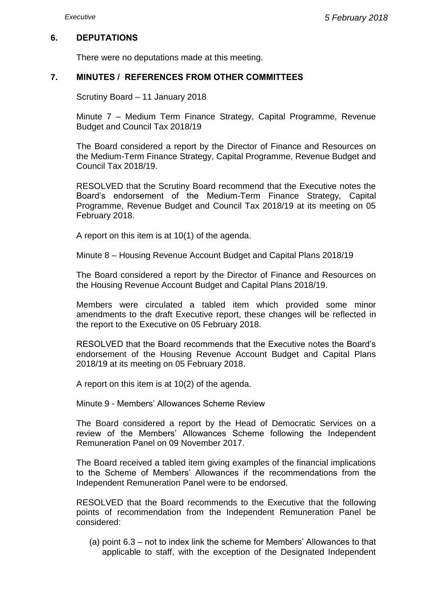#### **6. DEPUTATIONS**

There were no deputations made at this meeting.

#### **7. MINUTES / REFERENCES FROM OTHER COMMITTEES**

Scrutiny Board – 11 January 2018

Minute 7 – Medium Term Finance Strategy, Capital Programme, Revenue Budget and Council Tax 2018/19

The Board considered a report by the Director of Finance and Resources on the Medium-Term Finance Strategy, Capital Programme, Revenue Budget and Council Tax 2018/19.

RESOLVED that the Scrutiny Board recommend that the Executive notes the Board's endorsement of the Medium-Term Finance Strategy, Capital Programme, Revenue Budget and Council Tax 2018/19 at its meeting on 05 February 2018.

A report on this item is at 10(1) of the agenda.

Minute 8 – Housing Revenue Account Budget and Capital Plans 2018/19

The Board considered a report by the Director of Finance and Resources on the Housing Revenue Account Budget and Capital Plans 2018/19.

Members were circulated a tabled item which provided some minor amendments to the draft Executive report, these changes will be reflected in the report to the Executive on 05 February 2018.

RESOLVED that the Board recommends that the Executive notes the Board's endorsement of the Housing Revenue Account Budget and Capital Plans 2018/19 at its meeting on 05 February 2018.

A report on this item is at 10(2) of the agenda.

Minute 9 - Members' Allowances Scheme Review

The Board considered a report by the Head of Democratic Services on a review of the Members' Allowances Scheme following the Independent Remuneration Panel on 09 November 2017.

The Board received a tabled item giving examples of the financial implications to the Scheme of Members' Allowances if the recommendations from the Independent Remuneration Panel were to be endorsed.

RESOLVED that the Board recommends to the Executive that the following points of recommendation from the Independent Remuneration Panel be considered:

(a) point 6.3 – not to index link the scheme for Members' Allowances to that applicable to staff, with the exception of the Designated Independent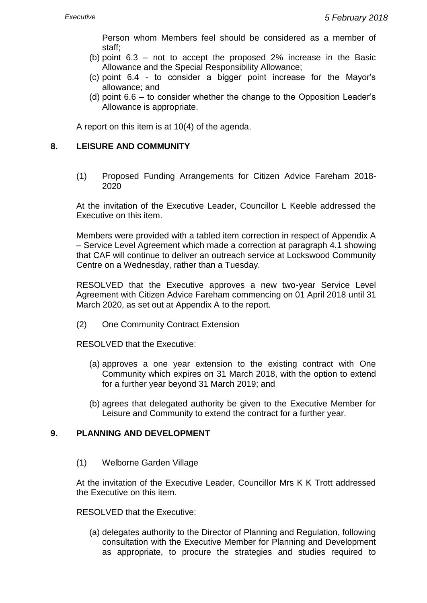Person whom Members feel should be considered as a member of staff;

- (b) point 6.3 not to accept the proposed 2% increase in the Basic Allowance and the Special Responsibility Allowance;
- (c) point 6.4 to consider a bigger point increase for the Mayor's allowance; and
- (d) point 6.6 to consider whether the change to the Opposition Leader's Allowance is appropriate.

A report on this item is at 10(4) of the agenda.

## **8. LEISURE AND COMMUNITY**

(1) Proposed Funding Arrangements for Citizen Advice Fareham 2018- 2020

At the invitation of the Executive Leader, Councillor L Keeble addressed the Executive on this item.

Members were provided with a tabled item correction in respect of Appendix A – Service Level Agreement which made a correction at paragraph 4.1 showing that CAF will continue to deliver an outreach service at Lockswood Community Centre on a Wednesday, rather than a Tuesday.

RESOLVED that the Executive approves a new two-year Service Level Agreement with Citizen Advice Fareham commencing on 01 April 2018 until 31 March 2020, as set out at Appendix A to the report.

(2) One Community Contract Extension

RESOLVED that the Executive:

- (a) approves a one year extension to the existing contract with One Community which expires on 31 March 2018, with the option to extend for a further year beyond 31 March 2019; and
- (b) agrees that delegated authority be given to the Executive Member for Leisure and Community to extend the contract for a further year.

## **9. PLANNING AND DEVELOPMENT**

(1) Welborne Garden Village

At the invitation of the Executive Leader, Councillor Mrs K K Trott addressed the Executive on this item.

RESOLVED that the Executive:

(a) delegates authority to the Director of Planning and Regulation, following consultation with the Executive Member for Planning and Development as appropriate, to procure the strategies and studies required to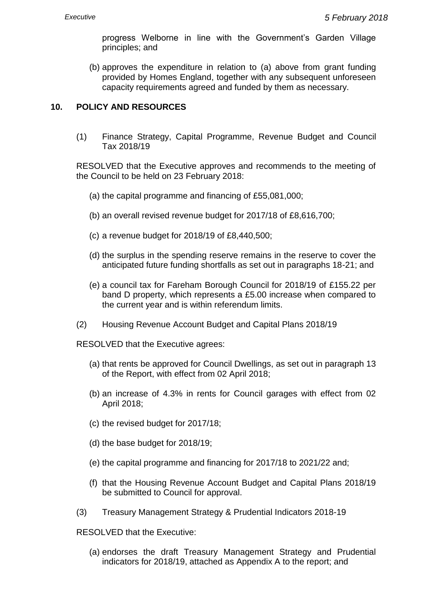progress Welborne in line with the Government's Garden Village principles; and

(b) approves the expenditure in relation to (a) above from grant funding provided by Homes England, together with any subsequent unforeseen capacity requirements agreed and funded by them as necessary.

#### **10. POLICY AND RESOURCES**

(1) Finance Strategy, Capital Programme, Revenue Budget and Council Tax 2018/19

RESOLVED that the Executive approves and recommends to the meeting of the Council to be held on 23 February 2018:

- (a) the capital programme and financing of £55,081,000;
- (b) an overall revised revenue budget for 2017/18 of £8,616,700;
- (c) a revenue budget for 2018/19 of £8,440,500;
- (d) the surplus in the spending reserve remains in the reserve to cover the anticipated future funding shortfalls as set out in paragraphs 18-21; and
- (e) a council tax for Fareham Borough Council for 2018/19 of £155.22 per band D property, which represents a £5.00 increase when compared to the current year and is within referendum limits.
- (2) Housing Revenue Account Budget and Capital Plans 2018/19

RESOLVED that the Executive agrees:

- (a) that rents be approved for Council Dwellings, as set out in paragraph 13 of the Report, with effect from 02 April 2018;
- (b) an increase of 4.3% in rents for Council garages with effect from 02 April 2018;
- (c) the revised budget for 2017/18;
- (d) the base budget for 2018/19;
- (e) the capital programme and financing for 2017/18 to 2021/22 and;
- (f) that the Housing Revenue Account Budget and Capital Plans 2018/19 be submitted to Council for approval.
- (3) Treasury Management Strategy & Prudential Indicators 2018-19

RESOLVED that the Executive:

(a) endorses the draft Treasury Management Strategy and Prudential indicators for 2018/19, attached as Appendix A to the report; and